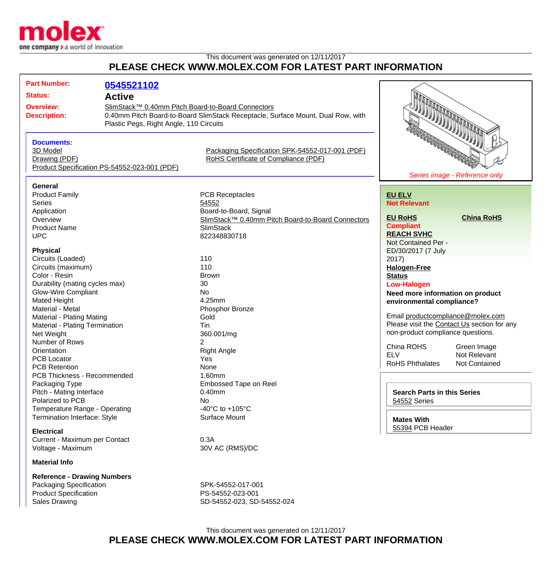

## This document was generated on 12/11/2017 **PLEASE CHECK WWW.MOLEX.COM FOR LATEST PART INFORMATION**

| <b>Part Number:</b>                                                                                                                                                                                                                                                                                                                                                                                                                                                                                                                                                                                                                                            |                                                                        |                                                                                                                                                                                                                                                                                                                                                                                                                                |                                                                                                                                                                                                                                                                                                                                                                                                                                                                                                                                                                                                                                  |
|----------------------------------------------------------------------------------------------------------------------------------------------------------------------------------------------------------------------------------------------------------------------------------------------------------------------------------------------------------------------------------------------------------------------------------------------------------------------------------------------------------------------------------------------------------------------------------------------------------------------------------------------------------------|------------------------------------------------------------------------|--------------------------------------------------------------------------------------------------------------------------------------------------------------------------------------------------------------------------------------------------------------------------------------------------------------------------------------------------------------------------------------------------------------------------------|----------------------------------------------------------------------------------------------------------------------------------------------------------------------------------------------------------------------------------------------------------------------------------------------------------------------------------------------------------------------------------------------------------------------------------------------------------------------------------------------------------------------------------------------------------------------------------------------------------------------------------|
| <b>Status:</b><br><b>Overview:</b><br><b>Description:</b>                                                                                                                                                                                                                                                                                                                                                                                                                                                                                                                                                                                                      | 0545521102<br><b>Active</b><br>Plastic Pegs, Right Angle, 110 Circuits | SlimStack™ 0.40mm Pitch Board-to-Board Connectors<br>0.40mm Pitch Board-to-Board SlimStack Receptacle, Surface Mount, Dual Row, with                                                                                                                                                                                                                                                                                           |                                                                                                                                                                                                                                                                                                                                                                                                                                                                                                                                                                                                                                  |
| <b>Documents:</b><br>3D Model<br>Drawing (PDF)                                                                                                                                                                                                                                                                                                                                                                                                                                                                                                                                                                                                                 | Product Specification PS-54552-023-001 (PDF)                           | Packaging Specification SPK-54552-017-001 (PDF)<br>RoHS Certificate of Compliance (PDF)                                                                                                                                                                                                                                                                                                                                        | <b>STATE OF THE PROPERTY AND</b><br>Series image - Reference only                                                                                                                                                                                                                                                                                                                                                                                                                                                                                                                                                                |
| General<br><b>Product Family</b><br><b>Series</b><br>Application<br>Overview<br><b>Product Name</b><br><b>UPC</b><br><b>Physical</b><br>Circuits (Loaded)<br>Circuits (maximum)<br>Color - Resin<br>Durability (mating cycles max)<br><b>Glow-Wire Compliant</b><br>Mated Height<br>Material - Metal<br><b>Material - Plating Mating</b><br>Material - Plating Termination<br>Net Weight<br>Number of Rows<br>Orientation<br><b>PCB Locator</b><br><b>PCB Retention</b><br>PCB Thickness - Recommended<br>Packaging Type<br>Pitch - Mating Interface<br>Polarized to PCB<br>Temperature Range - Operating<br>Termination Interface: Style<br><b>Electrical</b> |                                                                        | <b>PCB Receptacles</b><br>54552<br>Board-to-Board, Signal<br>SlimStack™ 0.40mm Pitch Board-to-Board Connectors<br><b>SlimStack</b><br>822348830718<br>110<br>110<br><b>Brown</b><br>30<br>No<br>4.25mm<br>Phosphor Bronze<br>Gold<br>Tin<br>360.001/mg<br>$\overline{2}$<br><b>Right Angle</b><br>Yes<br>None<br>1.60mm<br>Embossed Tape on Reel<br>$0.40$ mm<br>No.<br>-40 $^{\circ}$ C to +105 $^{\circ}$ C<br>Surface Mount | <b>EU ELV</b><br><b>Not Relevant</b><br><b>EU RoHS</b><br><b>China RoHS</b><br><b>Compliant</b><br><b>REACH SVHC</b><br>Not Contained Per -<br>ED/30/2017 (7 July<br>2017)<br><b>Halogen-Free</b><br><b>Status</b><br><b>Low-Halogen</b><br>Need more information on product<br>environmental compliance?<br>Email productcompliance@molex.com<br>Please visit the Contact Us section for any<br>non-product compliance questions.<br>China ROHS<br>Green Image<br><b>ELV</b><br>Not Relevant<br>RoHS Phthalates<br>Not Contained<br><b>Search Parts in this Series</b><br>54552 Series<br><b>Mates With</b><br>55394 PCB Header |
| Current - Maximum per Contact<br>Voltage - Maximum<br><b>Material Info</b><br><b>Reference - Drawing Numbers</b><br>Packaging Specification<br><b>Product Specification</b>                                                                                                                                                                                                                                                                                                                                                                                                                                                                                    |                                                                        | 0.3A<br>30V AC (RMS)/DC<br>SPK-54552-017-001<br>PS-54552-023-001                                                                                                                                                                                                                                                                                                                                                               |                                                                                                                                                                                                                                                                                                                                                                                                                                                                                                                                                                                                                                  |

Sales Drawing **SD-54552-023**, SD-54552-024